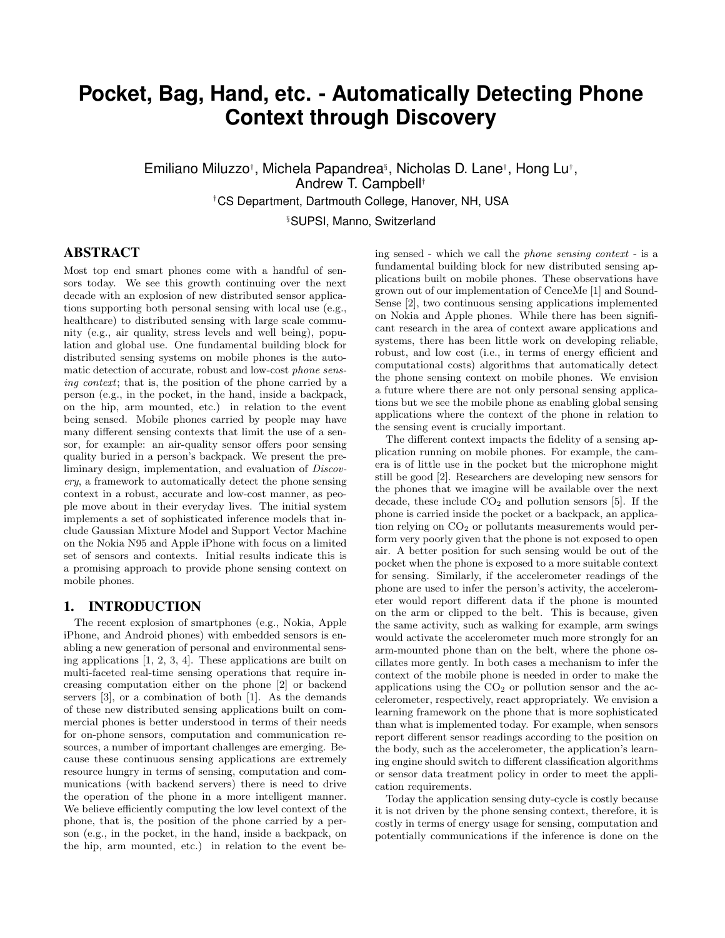# **Pocket, Bag, Hand, etc. - Automatically Detecting Phone Context through Discovery**

Emiliano Miluzzo<sup>†</sup>, Michela Papandrea<sup>§</sup>, Nicholas D. Lane†, Hong Lu†, Andrew T. Campbell† †CS Department, Dartmouth College, Hanover, NH, USA

§SUPSI, Manno, Switzerland

## ABSTRACT

Most top end smart phones come with a handful of sensors today. We see this growth continuing over the next decade with an explosion of new distributed sensor applications supporting both personal sensing with local use (e.g., healthcare) to distributed sensing with large scale community (e.g., air quality, stress levels and well being), population and global use. One fundamental building block for distributed sensing systems on mobile phones is the automatic detection of accurate, robust and low-cost phone sensing context; that is, the position of the phone carried by a person (e.g., in the pocket, in the hand, inside a backpack, on the hip, arm mounted, etc.) in relation to the event being sensed. Mobile phones carried by people may have many different sensing contexts that limit the use of a sensor, for example: an air-quality sensor offers poor sensing quality buried in a person's backpack. We present the preliminary design, implementation, and evaluation of Discovery, a framework to automatically detect the phone sensing context in a robust, accurate and low-cost manner, as people move about in their everyday lives. The initial system implements a set of sophisticated inference models that include Gaussian Mixture Model and Support Vector Machine on the Nokia N95 and Apple iPhone with focus on a limited set of sensors and contexts. Initial results indicate this is a promising approach to provide phone sensing context on mobile phones.

## 1. INTRODUCTION

The recent explosion of smartphones (e.g., Nokia, Apple iPhone, and Android phones) with embedded sensors is enabling a new generation of personal and environmental sensing applications [1, 2, 3, 4]. These applications are built on multi-faceted real-time sensing operations that require increasing computation either on the phone [2] or backend servers [3], or a combination of both [1]. As the demands of these new distributed sensing applications built on commercial phones is better understood in terms of their needs for on-phone sensors, computation and communication resources, a number of important challenges are emerging. Because these continuous sensing applications are extremely resource hungry in terms of sensing, computation and communications (with backend servers) there is need to drive the operation of the phone in a more intelligent manner. We believe efficiently computing the low level context of the phone, that is, the position of the phone carried by a person (e.g., in the pocket, in the hand, inside a backpack, on the hip, arm mounted, etc.) in relation to the event being sensed - which we call the phone sensing context - is a fundamental building block for new distributed sensing applications built on mobile phones. These observations have grown out of our implementation of CenceMe [1] and Sound-Sense [2], two continuous sensing applications implemented on Nokia and Apple phones. While there has been significant research in the area of context aware applications and systems, there has been little work on developing reliable, robust, and low cost (i.e., in terms of energy efficient and computational costs) algorithms that automatically detect the phone sensing context on mobile phones. We envision a future where there are not only personal sensing applications but we see the mobile phone as enabling global sensing applications where the context of the phone in relation to the sensing event is crucially important.

The different context impacts the fidelity of a sensing application running on mobile phones. For example, the camera is of little use in the pocket but the microphone might still be good [2]. Researchers are developing new sensors for the phones that we imagine will be available over the next decade, these include  $CO<sub>2</sub>$  and pollution sensors [5]. If the phone is carried inside the pocket or a backpack, an application relying on  $CO<sub>2</sub>$  or pollutants measurements would perform very poorly given that the phone is not exposed to open air. A better position for such sensing would be out of the pocket when the phone is exposed to a more suitable context for sensing. Similarly, if the accelerometer readings of the phone are used to infer the person's activity, the accelerometer would report different data if the phone is mounted on the arm or clipped to the belt. This is because, given the same activity, such as walking for example, arm swings would activate the accelerometer much more strongly for an arm-mounted phone than on the belt, where the phone oscillates more gently. In both cases a mechanism to infer the context of the mobile phone is needed in order to make the applications using the  $CO<sub>2</sub>$  or pollution sensor and the accelerometer, respectively, react appropriately. We envision a learning framework on the phone that is more sophisticated than what is implemented today. For example, when sensors report different sensor readings according to the position on the body, such as the accelerometer, the application's learning engine should switch to different classification algorithms or sensor data treatment policy in order to meet the application requirements.

Today the application sensing duty-cycle is costly because it is not driven by the phone sensing context, therefore, it is costly in terms of energy usage for sensing, computation and potentially communications if the inference is done on the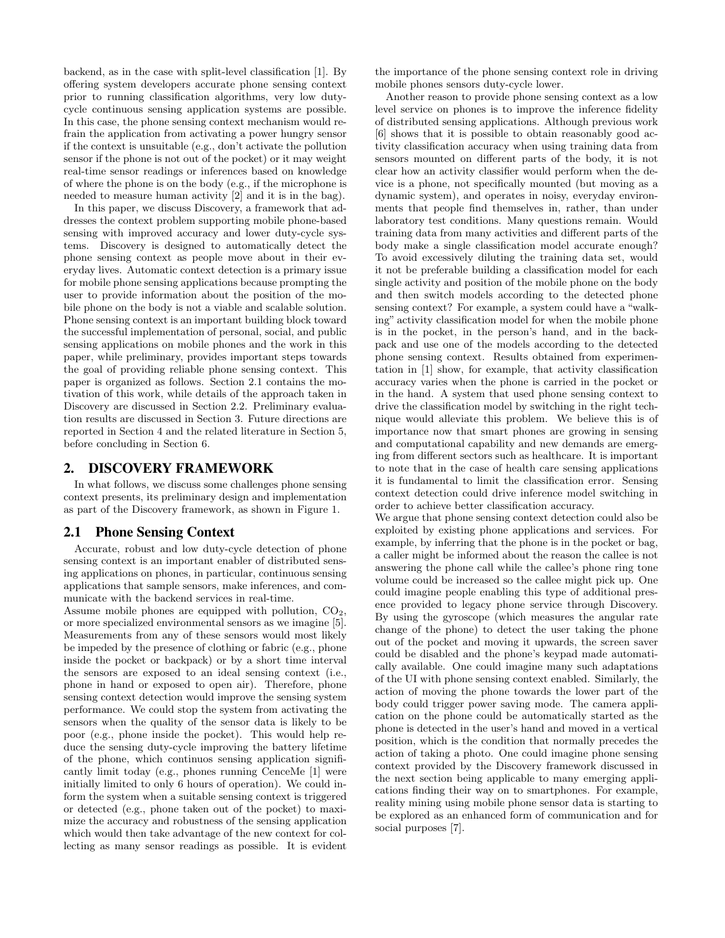backend, as in the case with split-level classification [1]. By offering system developers accurate phone sensing context prior to running classification algorithms, very low dutycycle continuous sensing application systems are possible. In this case, the phone sensing context mechanism would refrain the application from activating a power hungry sensor if the context is unsuitable (e.g., don't activate the pollution sensor if the phone is not out of the pocket) or it may weight real-time sensor readings or inferences based on knowledge of where the phone is on the body (e.g., if the microphone is needed to measure human activity [2] and it is in the bag).

In this paper, we discuss Discovery, a framework that addresses the context problem supporting mobile phone-based sensing with improved accuracy and lower duty-cycle systems. Discovery is designed to automatically detect the phone sensing context as people move about in their everyday lives. Automatic context detection is a primary issue for mobile phone sensing applications because prompting the user to provide information about the position of the mobile phone on the body is not a viable and scalable solution. Phone sensing context is an important building block toward the successful implementation of personal, social, and public sensing applications on mobile phones and the work in this paper, while preliminary, provides important steps towards the goal of providing reliable phone sensing context. This paper is organized as follows. Section 2.1 contains the motivation of this work, while details of the approach taken in Discovery are discussed in Section 2.2. Preliminary evaluation results are discussed in Section 3. Future directions are reported in Section 4 and the related literature in Section 5, before concluding in Section 6.

### 2. DISCOVERY FRAMEWORK

In what follows, we discuss some challenges phone sensing context presents, its preliminary design and implementation as part of the Discovery framework, as shown in Figure 1.

#### 2.1 Phone Sensing Context

Accurate, robust and low duty-cycle detection of phone sensing context is an important enabler of distributed sensing applications on phones, in particular, continuous sensing applications that sample sensors, make inferences, and communicate with the backend services in real-time.

Assume mobile phones are equipped with pollution,  $CO<sub>2</sub>$ , or more specialized environmental sensors as we imagine [5]. Measurements from any of these sensors would most likely be impeded by the presence of clothing or fabric (e.g., phone inside the pocket or backpack) or by a short time interval the sensors are exposed to an ideal sensing context (i.e., phone in hand or exposed to open air). Therefore, phone sensing context detection would improve the sensing system performance. We could stop the system from activating the sensors when the quality of the sensor data is likely to be poor (e.g., phone inside the pocket). This would help reduce the sensing duty-cycle improving the battery lifetime of the phone, which continuos sensing application significantly limit today (e.g., phones running CenceMe [1] were initially limited to only 6 hours of operation). We could inform the system when a suitable sensing context is triggered or detected (e.g., phone taken out of the pocket) to maximize the accuracy and robustness of the sensing application which would then take advantage of the new context for collecting as many sensor readings as possible. It is evident the importance of the phone sensing context role in driving mobile phones sensors duty-cycle lower.

Another reason to provide phone sensing context as a low level service on phones is to improve the inference fidelity of distributed sensing applications. Although previous work [6] shows that it is possible to obtain reasonably good activity classification accuracy when using training data from sensors mounted on different parts of the body, it is not clear how an activity classifier would perform when the device is a phone, not specifically mounted (but moving as a dynamic system), and operates in noisy, everyday environments that people find themselves in, rather, than under laboratory test conditions. Many questions remain. Would training data from many activities and different parts of the body make a single classification model accurate enough? To avoid excessively diluting the training data set, would it not be preferable building a classification model for each single activity and position of the mobile phone on the body and then switch models according to the detected phone sensing context? For example, a system could have a "walking" activity classification model for when the mobile phone is in the pocket, in the person's hand, and in the backpack and use one of the models according to the detected phone sensing context. Results obtained from experimentation in [1] show, for example, that activity classification accuracy varies when the phone is carried in the pocket or in the hand. A system that used phone sensing context to drive the classification model by switching in the right technique would alleviate this problem. We believe this is of importance now that smart phones are growing in sensing and computational capability and new demands are emerging from different sectors such as healthcare. It is important to note that in the case of health care sensing applications it is fundamental to limit the classification error. Sensing context detection could drive inference model switching in order to achieve better classification accuracy.

We argue that phone sensing context detection could also be exploited by existing phone applications and services. For example, by inferring that the phone is in the pocket or bag, a caller might be informed about the reason the callee is not answering the phone call while the callee's phone ring tone volume could be increased so the callee might pick up. One could imagine people enabling this type of additional presence provided to legacy phone service through Discovery. By using the gyroscope (which measures the angular rate change of the phone) to detect the user taking the phone out of the pocket and moving it upwards, the screen saver could be disabled and the phone's keypad made automatically available. One could imagine many such adaptations of the UI with phone sensing context enabled. Similarly, the action of moving the phone towards the lower part of the body could trigger power saving mode. The camera application on the phone could be automatically started as the phone is detected in the user's hand and moved in a vertical position, which is the condition that normally precedes the action of taking a photo. One could imagine phone sensing context provided by the Discovery framework discussed in the next section being applicable to many emerging applications finding their way on to smartphones. For example, reality mining using mobile phone sensor data is starting to be explored as an enhanced form of communication and for social purposes [7].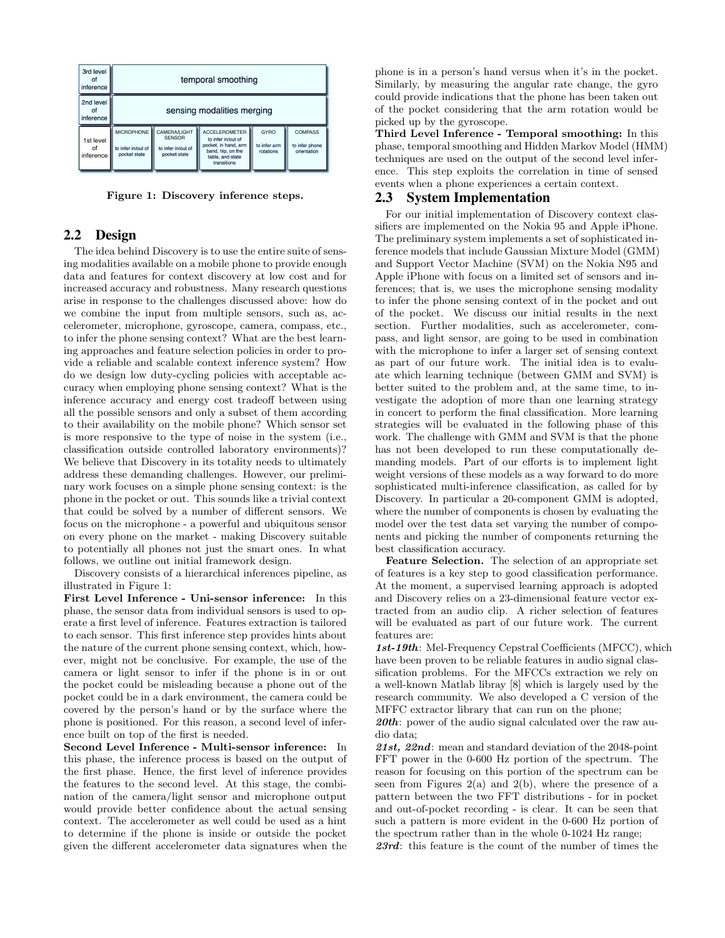

Figure 1: Discovery inference steps.

## 2.2 Design

The idea behind Discovery is to use the entire suite of sensing modalities available on a mobile phone to provide enough data and features for context discovery at low cost and for increased accuracy and robustness. Many research questions arise in response to the challenges discussed above: how do we combine the input from multiple sensors, such as, accelerometer, microphone, gyroscope, camera, compass, etc., to infer the phone sensing context? What are the best learning approaches and feature selection policies in order to provide a reliable and scalable context inference system? How do we design low duty-cycling policies with acceptable accuracy when employing phone sensing context? What is the inference accuracy and energy cost tradeoff between using all the possible sensors and only a subset of them according to their availability on the mobile phone? Which sensor set is more responsive to the type of noise in the system (i.e., classification outside controlled laboratory environments)? We believe that Discovery in its totality needs to ultimately address these demanding challenges. However, our preliminary work focuses on a simple phone sensing context: is the phone in the pocket or out. This sounds like a trivial context that could be solved by a number of different sensors. We focus on the microphone - a powerful and ubiquitous sensor on every phone on the market - making Discovery suitable to potentially all phones not just the smart ones. In what follows, we outline out initial framework design.

Discovery consists of a hierarchical inferences pipeline, as illustrated in Figure 1:

First Level Inference - Uni-sensor inference: In this phase, the sensor data from individual sensors is used to operate a first level of inference. Features extraction is tailored to each sensor. This first inference step provides hints about the nature of the current phone sensing context, which, however, might not be conclusive. For example, the use of the camera or light sensor to infer if the phone is in or out the pocket could be misleading because a phone out of the pocket could be in a dark environment, the camera could be covered by the person's hand or by the surface where the phone is positioned. For this reason, a second level of inference built on top of the first is needed.

Second Level Inference - Multi-sensor inference: In this phase, the inference process is based on the output of the first phase. Hence, the first level of inference provides the features to the second level. At this stage, the combination of the camera/light sensor and microphone output would provide better confidence about the actual sensing context. The accelerometer as well could be used as a hint to determine if the phone is inside or outside the pocket given the different accelerometer data signatures when the phone is in a person's hand versus when it's in the pocket. Similarly, by measuring the angular rate change, the gyro could provide indications that the phone has been taken out of the pocket considering that the arm rotation would be picked up by the gyroscope.

Third Level Inference - Temporal smoothing: In this phase, temporal smoothing and Hidden Markov Model (HMM) techniques are used on the output of the second level inference. This step exploits the correlation in time of sensed events when a phone experiences a certain context.

## 2.3 System Implementation

For our initial implementation of Discovery context classifiers are implemented on the Nokia 95 and Apple iPhone. The preliminary system implements a set of sophisticated inference models that include Gaussian Mixture Model (GMM) and Support Vector Machine (SVM) on the Nokia N95 and Apple iPhone with focus on a limited set of sensors and inferences; that is, we uses the microphone sensing modality to infer the phone sensing context of in the pocket and out of the pocket. We discuss our initial results in the next section. Further modalities, such as accelerometer, compass, and light sensor, are going to be used in combination with the microphone to infer a larger set of sensing context as part of our future work. The initial idea is to evaluate which learning technique (between GMM and SVM) is better suited to the problem and, at the same time, to investigate the adoption of more than one learning strategy in concert to perform the final classification. More learning strategies will be evaluated in the following phase of this work. The challenge with GMM and SVM is that the phone has not been developed to run these computationally demanding models. Part of our efforts is to implement light weight versions of these models as a way forward to do more sophisticated multi-inference classification, as called for by Discovery. In particular a 20-component GMM is adopted, where the number of components is chosen by evaluating the model over the test data set varying the number of components and picking the number of components returning the best classification accuracy.

Feature Selection. The selection of an appropriate set of features is a key step to good classification performance. At the moment, a supervised learning approach is adopted and Discovery relies on a 23-dimensional feature vector extracted from an audio clip. A richer selection of features will be evaluated as part of our future work. The current features are:

1st-19th: Mel-Frequency Cepstral Coefficients (MFCC), which have been proven to be reliable features in audio signal classification problems. For the MFCCs extraction we rely on a well-known Matlab libray [8] which is largely used by the research community. We also developed a C version of the MFFC extractor library that can run on the phone;

 $20$ th: power of the audio signal calculated over the raw audio data;

21st, 22nd: mean and standard deviation of the 2048-point FFT power in the 0-600 Hz portion of the spectrum. The reason for focusing on this portion of the spectrum can be seen from Figures  $2(a)$  and  $2(b)$ , where the presence of a pattern between the two FFT distributions - for in pocket and out-of-pocket recording - is clear. It can be seen that such a pattern is more evident in the 0-600 Hz portion of the spectrum rather than in the whole 0-1024 Hz range;

23rd: this feature is the count of the number of times the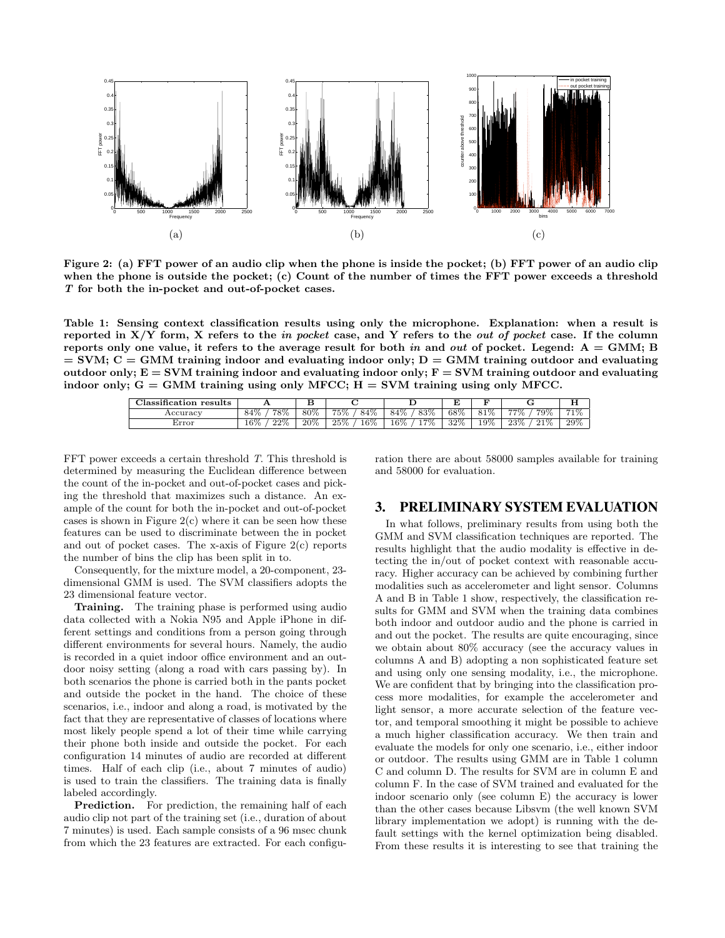

Figure 2: (a) FFT power of an audio clip when the phone is inside the pocket; (b) FFT power of an audio clip when the phone is outside the pocket; (c) Count of the number of times the FFT power exceeds a threshold T for both the in-pocket and out-of-pocket cases.

Table 1: Sensing context classification results using only the microphone. Explanation: when a result is reported in  $X/Y$  form, X refers to the in pocket case, and Y refers to the out of pocket case. If the column reports only one value, it refers to the average result for both in and out of pocket. Legend:  $A = GMM$ ; B  $=$  SVM; C = GMM training indoor and evaluating indoor only; D = GMM training outdoor and evaluating outdoor only;  $E = SVM$  training indoor and evaluating indoor only;  $F = SVM$  training outdoor and evaluating indoor only;  $G = GMM$  training using only MFCC;  $H = SVM$  training using only MFCC.

| $\cdot$<br>results<br>:Iassification |               | u      |               |              |     |        |               | . .    |
|--------------------------------------|---------------|--------|---------------|--------------|-----|--------|---------------|--------|
| Accuracy                             | 78%<br>84%    | 80%    | 75%<br>84%    | 83%<br>84%   | 68% | 81%    | 77%<br>79%    | 71%    |
| Error                                | 22%<br>$16\%$ | $20\%$ | $16\%$<br>25% | 7%<br>$16\%$ | 32% | $19\%$ | 21%<br>$23\%$ | $29\%$ |

FFT power exceeds a certain threshold T. This threshold is determined by measuring the Euclidean difference between the count of the in-pocket and out-of-pocket cases and picking the threshold that maximizes such a distance. An example of the count for both the in-pocket and out-of-pocket cases is shown in Figure  $2(c)$  where it can be seen how these features can be used to discriminate between the in pocket and out of pocket cases. The x-axis of Figure 2(c) reports the number of bins the clip has been split in to.

Consequently, for the mixture model, a 20-component, 23 dimensional GMM is used. The SVM classifiers adopts the 23 dimensional feature vector.

Training. The training phase is performed using audio data collected with a Nokia N95 and Apple iPhone in different settings and conditions from a person going through different environments for several hours. Namely, the audio is recorded in a quiet indoor office environment and an outdoor noisy setting (along a road with cars passing by). In both scenarios the phone is carried both in the pants pocket and outside the pocket in the hand. The choice of these scenarios, i.e., indoor and along a road, is motivated by the fact that they are representative of classes of locations where most likely people spend a lot of their time while carrying their phone both inside and outside the pocket. For each configuration 14 minutes of audio are recorded at different times. Half of each clip (i.e., about 7 minutes of audio) is used to train the classifiers. The training data is finally labeled accordingly.

Prediction. For prediction, the remaining half of each audio clip not part of the training set (i.e., duration of about 7 minutes) is used. Each sample consists of a 96 msec chunk from which the 23 features are extracted. For each configuration there are about 58000 samples available for training and 58000 for evaluation.

## 3. PRELIMINARY SYSTEM EVALUATION

In what follows, preliminary results from using both the GMM and SVM classification techniques are reported. The results highlight that the audio modality is effective in detecting the in/out of pocket context with reasonable accuracy. Higher accuracy can be achieved by combining further modalities such as accelerometer and light sensor. Columns A and B in Table 1 show, respectively, the classification results for GMM and SVM when the training data combines both indoor and outdoor audio and the phone is carried in and out the pocket. The results are quite encouraging, since we obtain about 80% accuracy (see the accuracy values in columns A and B) adopting a non sophisticated feature set and using only one sensing modality, i.e., the microphone. We are confident that by bringing into the classification process more modalities, for example the accelerometer and light sensor, a more accurate selection of the feature vector, and temporal smoothing it might be possible to achieve a much higher classification accuracy. We then train and evaluate the models for only one scenario, i.e., either indoor or outdoor. The results using GMM are in Table 1 column C and column D. The results for SVM are in column E and column F. In the case of SVM trained and evaluated for the indoor scenario only (see column E) the accuracy is lower than the other cases because Libsvm (the well known SVM library implementation we adopt) is running with the default settings with the kernel optimization being disabled. From these results it is interesting to see that training the